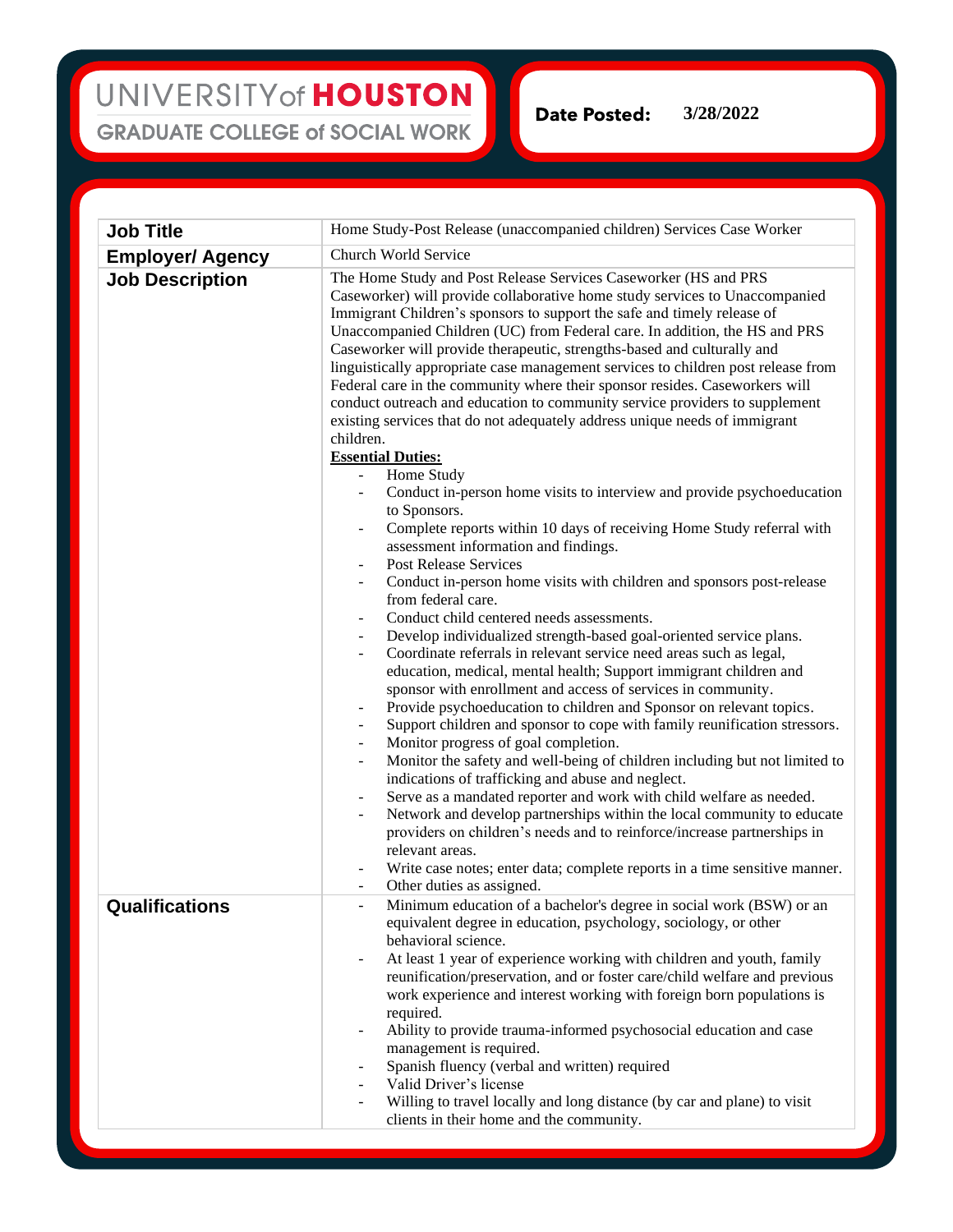## UNIVERSITY of HOUSTON **GRADUATE COLLEGE of SOCIAL WORK**

**Date Posted: 3/28/2022**

| <b>Job Title</b>        | Home Study-Post Release (unaccompanied children) Services Case Worker                                                                                                                                                                                                                                                                                                                                                                                                                                                                                                                                                                                                                                                                                                                                                                                                                                                                                                                                                                                                                                                                                                                                                                                                                                                                                                                                                                                                                                                                                                                                                                                                                                                                                                                                                                                                                                                                                                                                                                                                                                                                                                      |
|-------------------------|----------------------------------------------------------------------------------------------------------------------------------------------------------------------------------------------------------------------------------------------------------------------------------------------------------------------------------------------------------------------------------------------------------------------------------------------------------------------------------------------------------------------------------------------------------------------------------------------------------------------------------------------------------------------------------------------------------------------------------------------------------------------------------------------------------------------------------------------------------------------------------------------------------------------------------------------------------------------------------------------------------------------------------------------------------------------------------------------------------------------------------------------------------------------------------------------------------------------------------------------------------------------------------------------------------------------------------------------------------------------------------------------------------------------------------------------------------------------------------------------------------------------------------------------------------------------------------------------------------------------------------------------------------------------------------------------------------------------------------------------------------------------------------------------------------------------------------------------------------------------------------------------------------------------------------------------------------------------------------------------------------------------------------------------------------------------------------------------------------------------------------------------------------------------------|
| <b>Employer/ Agency</b> | Church World Service                                                                                                                                                                                                                                                                                                                                                                                                                                                                                                                                                                                                                                                                                                                                                                                                                                                                                                                                                                                                                                                                                                                                                                                                                                                                                                                                                                                                                                                                                                                                                                                                                                                                                                                                                                                                                                                                                                                                                                                                                                                                                                                                                       |
| <b>Job Description</b>  | The Home Study and Post Release Services Caseworker (HS and PRS<br>Caseworker) will provide collaborative home study services to Unaccompanied<br>Immigrant Children's sponsors to support the safe and timely release of<br>Unaccompanied Children (UC) from Federal care. In addition, the HS and PRS<br>Caseworker will provide therapeutic, strengths-based and culturally and<br>linguistically appropriate case management services to children post release from<br>Federal care in the community where their sponsor resides. Caseworkers will<br>conduct outreach and education to community service providers to supplement<br>existing services that do not adequately address unique needs of immigrant<br>children.<br><b>Essential Duties:</b><br>Home Study<br>$\qquad \qquad \blacksquare$<br>Conduct in-person home visits to interview and provide psychoeducation<br>to Sponsors.<br>Complete reports within 10 days of receiving Home Study referral with<br>assessment information and findings.<br><b>Post Release Services</b><br>Conduct in-person home visits with children and sponsors post-release<br>from federal care.<br>Conduct child centered needs assessments.<br>Develop individualized strength-based goal-oriented service plans.<br>Coordinate referrals in relevant service need areas such as legal,<br>education, medical, mental health; Support immigrant children and<br>sponsor with enrollment and access of services in community.<br>Provide psychoeducation to children and Sponsor on relevant topics.<br>Support children and sponsor to cope with family reunification stressors.<br>$\overline{\phantom{a}}$<br>Monitor progress of goal completion.<br>Monitor the safety and well-being of children including but not limited to<br>indications of trafficking and abuse and neglect.<br>Serve as a mandated reporter and work with child welfare as needed.<br>Network and develop partnerships within the local community to educate<br>providers on children's needs and to reinforce/increase partnerships in<br>relevant areas.<br>Write case notes; enter data; complete reports in a time sensitive manner. |
| Qualifications          | Other duties as assigned.<br>Minimum education of a bachelor's degree in social work (BSW) or an<br>equivalent degree in education, psychology, sociology, or other                                                                                                                                                                                                                                                                                                                                                                                                                                                                                                                                                                                                                                                                                                                                                                                                                                                                                                                                                                                                                                                                                                                                                                                                                                                                                                                                                                                                                                                                                                                                                                                                                                                                                                                                                                                                                                                                                                                                                                                                        |
|                         | behavioral science.<br>At least 1 year of experience working with children and youth, family<br>$\frac{1}{2}$<br>reunification/preservation, and or foster care/child welfare and previous<br>work experience and interest working with foreign born populations is<br>required.<br>Ability to provide trauma-informed psychosocial education and case<br>$\qquad \qquad \blacksquare$<br>management is required.<br>Spanish fluency (verbal and written) required<br>Valid Driver's license<br>Willing to travel locally and long distance (by car and plane) to visit<br>clients in their home and the community.                                                                                                                                                                                                                                                                                                                                                                                                                                                                                                                                                                                                                                                                                                                                                                                                                                                                                                                                                                                                                                                                                                                                                                                                                                                                                                                                                                                                                                                                                                                                                        |